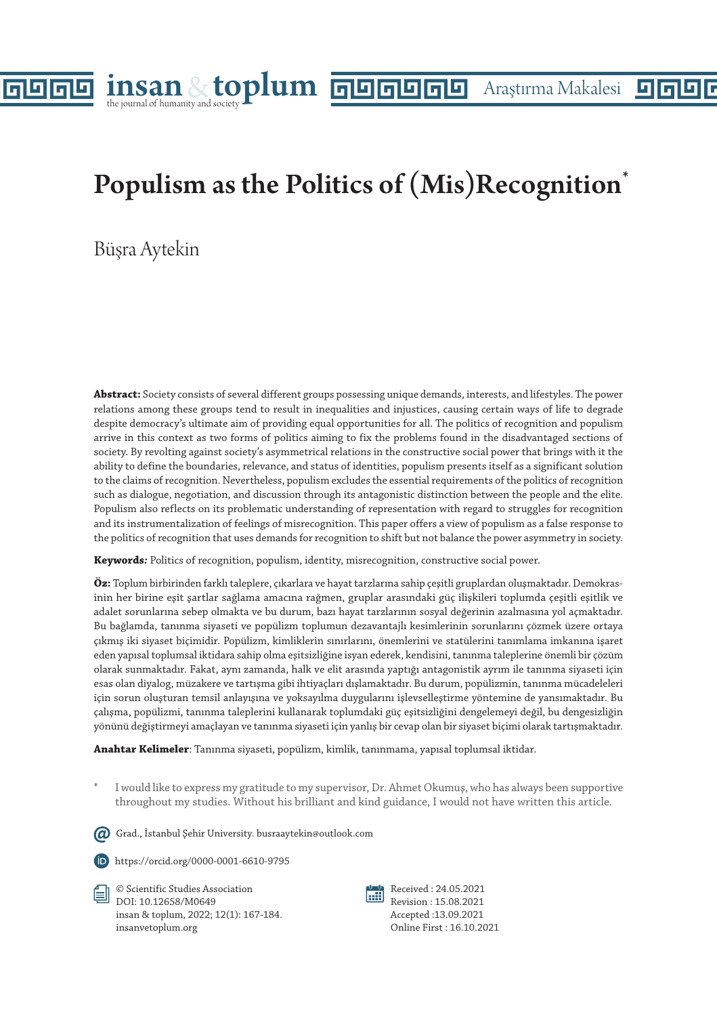# Populism as the Politics of (Mis)Recognition<sup>\*</sup>

Büşra Aytekin

नान

 $\displaystyle{{\mathop{\hbox{in}}\nolimits}_{{\mathop{\hbox{sum}}\nolimits} {\mathop{\hbox{min}}\nolimits}_{{\mathop{\hbox{in}}\nolimits}_{{\mathop{\hbox{min}}\nolimits} } \mathop{\hbox{max}}\nolimits} \sum_{{\mathop{\hbox{in}}\nolimits}_{{\mathop{\hbox{in}}\nolimits}} {\mathop{\hbox{min}}\nolimits}_{{\mathop{\hbox{in}}\nolimits}_{{\mathop{\hbox{in}}\nolimits}}} }$ 

**Abstract:** Society consists of several different groups possessing unique demands, interests, and lifestyles. The power relations among these groups tend to result in inequalities and injustices, causing certain ways of life to degrade despite democracy's ultimate aim of providing equal opportunities for all. The politics of recognition and populism arrive in this context as two forms of politics aiming to fix the problems found in the disadvantaged sections of society. By revolting against society's asymmetrical relations in the constructive social power that brings with it the ability to define the boundaries, relevance, and status of identities, populism presents itself as a significant solution to the claims of recognition. Nevertheless, populism excludes the essential requirements of the politics of recognition such as dialogue, negotiation, and discussion through its antagonistic distinction between the people and the elite. Populism also reflects on its problematic understanding of representation with regard to struggles for recognition and its instrumentalization of feelings of misrecognition. This paper offers a view of populism as a false response to the politics of recognition that uses demands for recognition to shift but not balance the power asymmetry in society.

**Keywords***:* Politics of recognition, populism, identity, misrecognition, constructive social power.

**Öz:** Toplum birbirinden farklı taleplere, çıkarlara ve hayat tarzlarına sahip çeşitli gruplardan oluşmaktadır. Demokrasinin her birine eşit şartlar sağlama amacına rağmen, gruplar arasındaki güç ilişkileri toplumda çeşitli eşitlik ve adalet sorunlarına sebep olmakta ve bu durum, bazı hayat tarzlarının sosyal değerinin azalmasına yol açmaktadır. Bu bağlamda, tanınma siyaseti ve popülizm toplumun dezavantajlı kesimlerinin sorunlarını çözmek üzere ortaya çıkmış iki siyaset biçimidir. Popülizm, kimliklerin sınırlarını, önemlerini ve statülerini tanımlama imkanına işaret eden yapısal toplumsal iktidara sahip olma eşitsizliğine isyan ederek, kendisini, tanınma taleplerine önemli bir çözüm olarak sunmaktadır. Fakat, aynı zamanda, halk ve elit arasında yaptığı antagonistik ayrım ile tanınma siyaseti için esas olan diyalog, müzakere ve tartışma gibi ihtiyaçları dışlamaktadır. Bu durum, popülizmin, tanınma mücadeleleri için sorun oluşturan temsil anlayışına ve yoksayılma duygularını işlevselleştirme yöntemine de yansımaktadır. Bu çalışma, popülizmi, tanınma taleplerini kullanarak toplumdaki güç eşitsizliğini dengelemeyi değil, bu dengesizliğin yönünü değiştirmeyi amaçlayan ve tanınma siyaseti için yanlış bir cevap olan bir siyaset biçimi olarak tartışmaktadır.

**Anahtar Kelimeler**: Tanınma siyaseti, popülizm, kimlik, tanınmama, yapısal toplumsal iktidar.

I would like to express my gratitude to my supervisor, Dr. Ahmet Okumuş, who has always been supportive throughout my studies. Without his brilliant and kind guidance, I would not have written this article.

Grad., İstanbul Şehir University. busraaytekin@outlook.com



https://orcid.org/0000-0001-6610-9795

© Scientific Studies Association DOI: 10.12658/M0649 insan & toplum, 2022; 12(1): 167-184. insanvetoplum.org



Received : 24.05.2021 Revision : 15.08.2021 Accepted :13.09.2021 Online First : 16.10.2021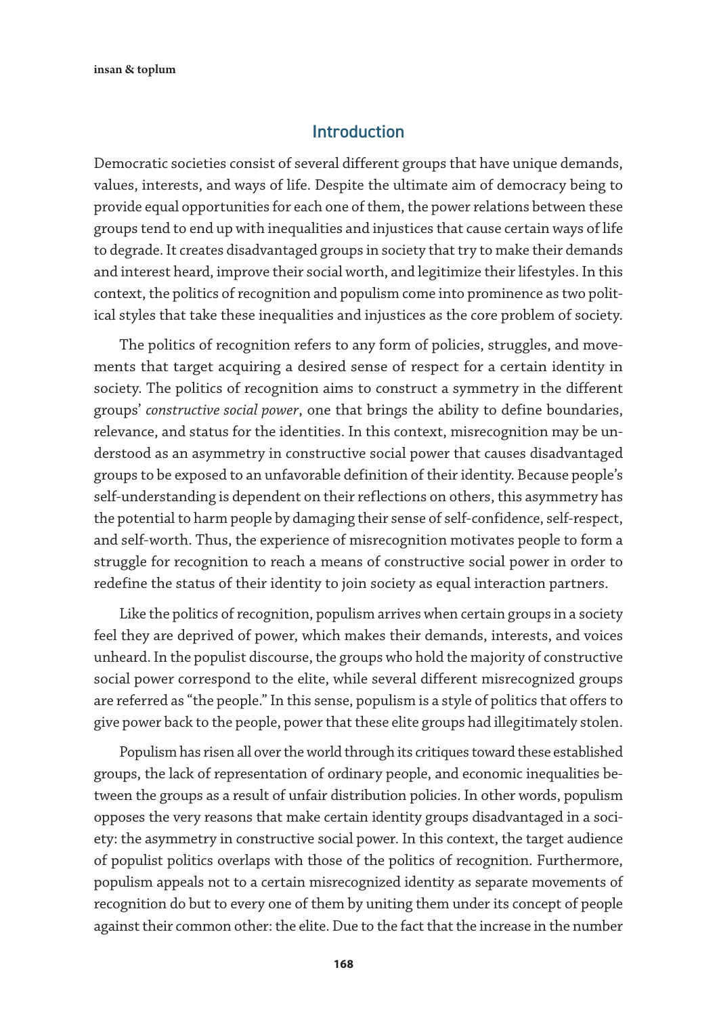#### **Introduction**

Democratic societies consist of several different groups that have unique demands, values, interests, and ways of life. Despite the ultimate aim of democracy being to provide equal opportunities for each one of them, the power relations between these groups tend to end up with inequalities and injustices that cause certain ways of life to degrade. It creates disadvantaged groups in society that try to make their demands and interest heard, improve their social worth, and legitimize their lifestyles. In this context, the politics of recognition and populism come into prominence as two political styles that take these inequalities and injustices as the core problem of society.

The politics of recognition refers to any form of policies, struggles, and movements that target acquiring a desired sense of respect for a certain identity in society. The politics of recognition aims to construct a symmetry in the different groups' *constructive social power*, one that brings the ability to define boundaries, relevance, and status for the identities. In this context, misrecognition may be understood as an asymmetry in constructive social power that causes disadvantaged groups to be exposed to an unfavorable definition of their identity. Because people's self-understanding is dependent on their reflections on others, this asymmetry has the potential to harm people by damaging their sense of self-confidence, self-respect, and self-worth. Thus, the experience of misrecognition motivates people to form a struggle for recognition to reach a means of constructive social power in order to redefine the status of their identity to join society as equal interaction partners.

Like the politics of recognition, populism arrives when certain groups in a society feel they are deprived of power, which makes their demands, interests, and voices unheard. In the populist discourse, the groups who hold the majority of constructive social power correspond to the elite, while several different misrecognized groups are referred as "the people." In this sense, populism is a style of politics that offers to give power back to the people, power that these elite groups had illegitimately stolen.

Populism has risen all over the world through its critiques toward these established groups, the lack of representation of ordinary people, and economic inequalities between the groups as a result of unfair distribution policies. In other words, populism opposes the very reasons that make certain identity groups disadvantaged in a society: the asymmetry in constructive social power. In this context, the target audience of populist politics overlaps with those of the politics of recognition. Furthermore, populism appeals not to a certain misrecognized identity as separate movements of recognition do but to every one of them by uniting them under its concept of people against their common other: the elite. Due to the fact that the increase in the number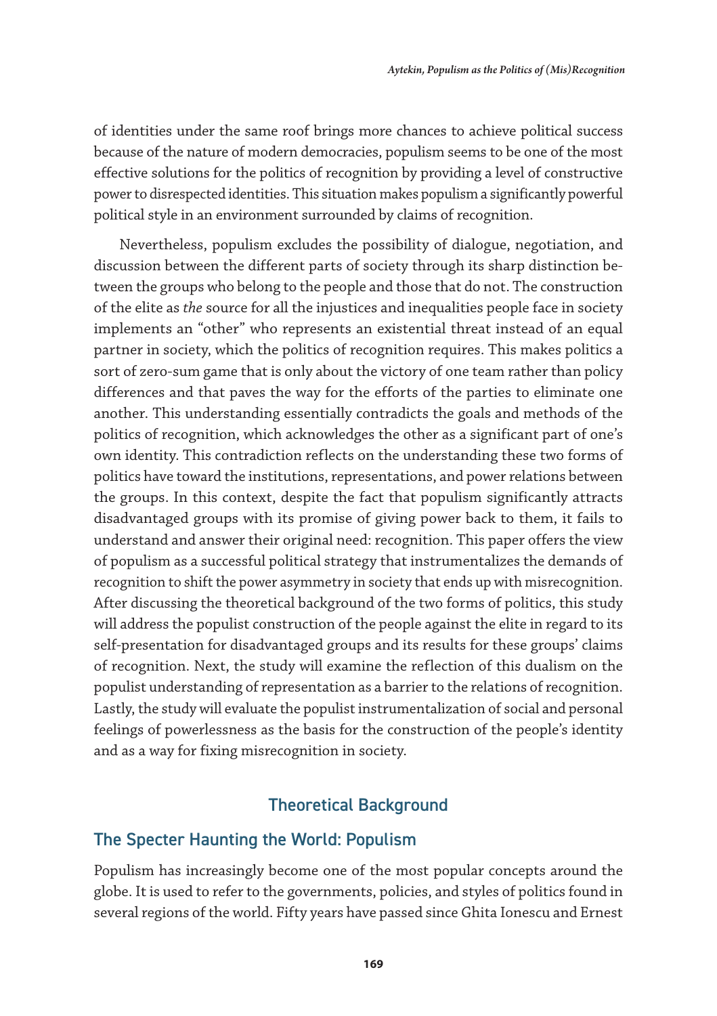of identities under the same roof brings more chances to achieve political success because of the nature of modern democracies, populism seems to be one of the most effective solutions for the politics of recognition by providing a level of constructive power to disrespected identities. This situation makes populism a significantly powerful political style in an environment surrounded by claims of recognition.

Nevertheless, populism excludes the possibility of dialogue, negotiation, and discussion between the different parts of society through its sharp distinction between the groups who belong to the people and those that do not. The construction of the elite as *the* source for all the injustices and inequalities people face in society implements an "other" who represents an existential threat instead of an equal partner in society, which the politics of recognition requires. This makes politics a sort of zero-sum game that is only about the victory of one team rather than policy differences and that paves the way for the efforts of the parties to eliminate one another. This understanding essentially contradicts the goals and methods of the politics of recognition, which acknowledges the other as a significant part of one's own identity. This contradiction reflects on the understanding these two forms of politics have toward the institutions, representations, and power relations between the groups. In this context, despite the fact that populism significantly attracts disadvantaged groups with its promise of giving power back to them, it fails to understand and answer their original need: recognition. This paper offers the view of populism as a successful political strategy that instrumentalizes the demands of recognition to shift the power asymmetry in society that ends up with misrecognition. After discussing the theoretical background of the two forms of politics, this study will address the populist construction of the people against the elite in regard to its self-presentation for disadvantaged groups and its results for these groups' claims of recognition. Next, the study will examine the reflection of this dualism on the populist understanding of representation as a barrier to the relations of recognition. Lastly, the study will evaluate the populist instrumentalization of social and personal feelings of powerlessness as the basis for the construction of the people's identity and as a way for fixing misrecognition in society.

## Theoretical Background

## The Specter Haunting the World: Populism

Populism has increasingly become one of the most popular concepts around the globe. It is used to refer to the governments, policies, and styles of politics found in several regions of the world. Fifty years have passed since Ghita Ionescu and Ernest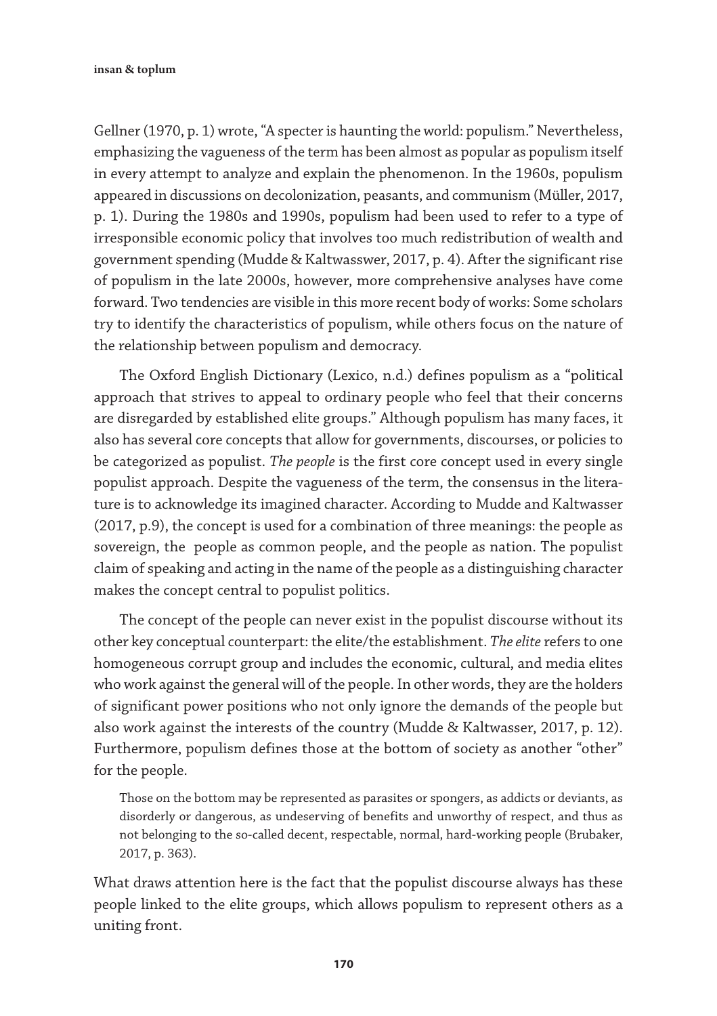Gellner (1970, p. 1) wrote, "A specter is haunting the world: populism." Nevertheless, emphasizing the vagueness of the term has been almost as popular as populism itself in every attempt to analyze and explain the phenomenon. In the 1960s, populism appeared in discussions on decolonization, peasants, and communism (Müller, 2017, p. 1). During the 1980s and 1990s, populism had been used to refer to a type of irresponsible economic policy that involves too much redistribution of wealth and government spending (Mudde & Kaltwasswer, 2017, p. 4). After the significant rise of populism in the late 2000s, however, more comprehensive analyses have come forward. Two tendencies are visible in this more recent body of works: Some scholars try to identify the characteristics of populism, while others focus on the nature of the relationship between populism and democracy.

The Oxford English Dictionary (Lexico, n.d.) defines populism as a "political approach that strives to appeal to ordinary people who feel that their concerns are disregarded by established elite groups." Although populism has many faces, it also has several core concepts that allow for governments, discourses, or policies to be categorized as populist. *The people* is the first core concept used in every single populist approach. Despite the vagueness of the term, the consensus in the literature is to acknowledge its imagined character. According to Mudde and Kaltwasser (2017, p.9), the concept is used for a combination of three meanings: the people as sovereign, the people as common people, and the people as nation. The populist claim of speaking and acting in the name of the people as a distinguishing character makes the concept central to populist politics.

The concept of the people can never exist in the populist discourse without its other key conceptual counterpart: the elite/the establishment. *The elite* refers to one homogeneous corrupt group and includes the economic, cultural, and media elites who work against the general will of the people. In other words, they are the holders of significant power positions who not only ignore the demands of the people but also work against the interests of the country (Mudde & Kaltwasser, 2017, p. 12). Furthermore, populism defines those at the bottom of society as another "other" for the people.

Those on the bottom may be represented as parasites or spongers, as addicts or deviants, as disorderly or dangerous, as undeserving of benefits and unworthy of respect, and thus as not belonging to the so-called decent, respectable, normal, hard-working people (Brubaker, 2017, p. 363).

What draws attention here is the fact that the populist discourse always has these people linked to the elite groups, which allows populism to represent others as a uniting front.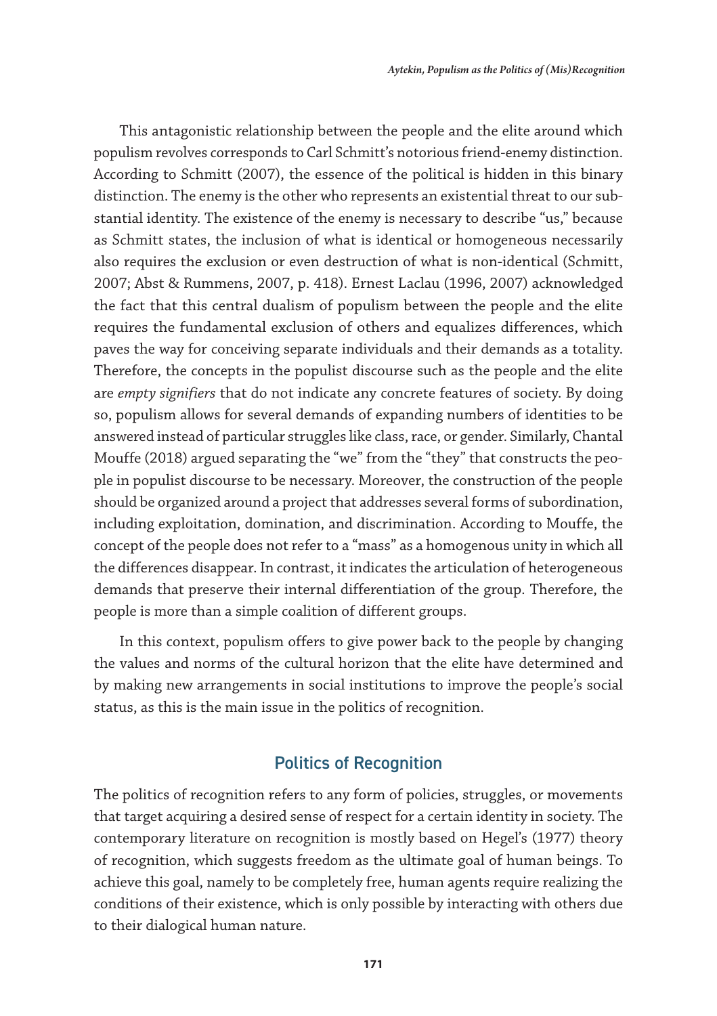This antagonistic relationship between the people and the elite around which populism revolves corresponds to Carl Schmitt's notorious friend-enemy distinction. According to Schmitt (2007), the essence of the political is hidden in this binary distinction. The enemy is the other who represents an existential threat to our substantial identity. The existence of the enemy is necessary to describe "us," because as Schmitt states, the inclusion of what is identical or homogeneous necessarily also requires the exclusion or even destruction of what is non-identical (Schmitt, 2007; Abst & Rummens, 2007, p. 418). Ernest Laclau (1996, 2007) acknowledged the fact that this central dualism of populism between the people and the elite requires the fundamental exclusion of others and equalizes differences, which paves the way for conceiving separate individuals and their demands as a totality. Therefore, the concepts in the populist discourse such as the people and the elite are *empty signifiers* that do not indicate any concrete features of society. By doing so, populism allows for several demands of expanding numbers of identities to be answered instead of particular struggles like class, race, or gender. Similarly, Chantal Mouffe (2018) argued separating the "we" from the "they" that constructs the people in populist discourse to be necessary. Moreover, the construction of the people should be organized around a project that addresses several forms of subordination, including exploitation, domination, and discrimination. According to Mouffe, the concept of the people does not refer to a "mass" as a homogenous unity in which all the differences disappear. In contrast, it indicates the articulation of heterogeneous demands that preserve their internal differentiation of the group. Therefore, the people is more than a simple coalition of different groups.

In this context, populism offers to give power back to the people by changing the values and norms of the cultural horizon that the elite have determined and by making new arrangements in social institutions to improve the people's social status, as this is the main issue in the politics of recognition.

### Politics of Recognition

The politics of recognition refers to any form of policies, struggles, or movements that target acquiring a desired sense of respect for a certain identity in society. The contemporary literature on recognition is mostly based on Hegel's (1977) theory of recognition, which suggests freedom as the ultimate goal of human beings. To achieve this goal, namely to be completely free, human agents require realizing the conditions of their existence, which is only possible by interacting with others due to their dialogical human nature.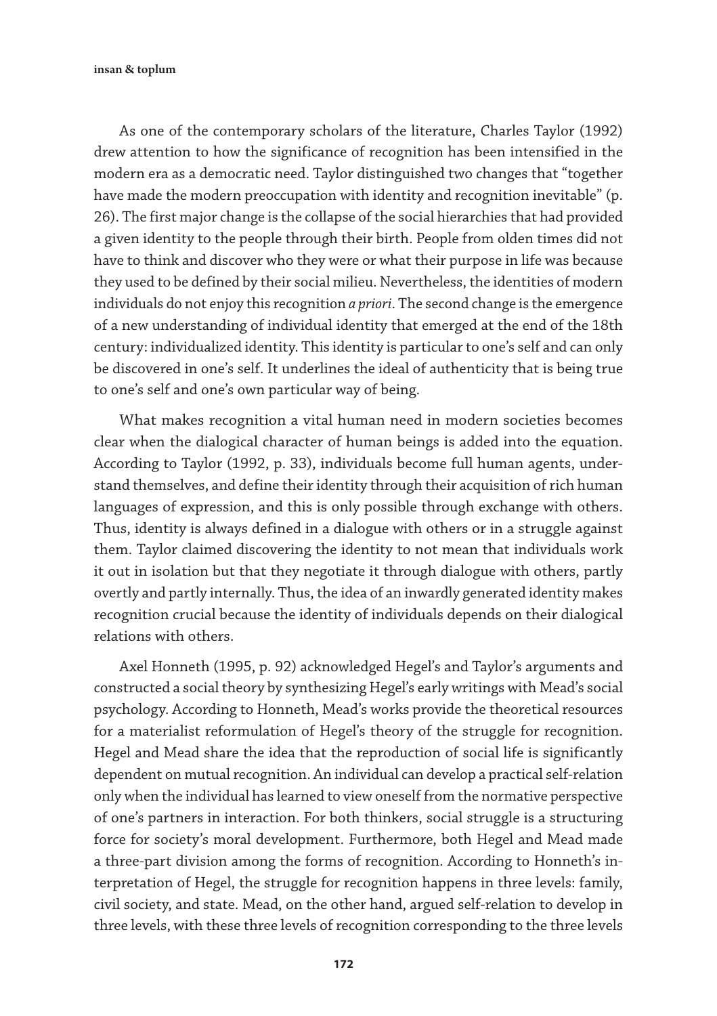insan & toplum

As one of the contemporary scholars of the literature, Charles Taylor (1992) drew attention to how the significance of recognition has been intensified in the modern era as a democratic need. Taylor distinguished two changes that "together have made the modern preoccupation with identity and recognition inevitable" (p. 26). The first major change is the collapse of the social hierarchies that had provided a given identity to the people through their birth. People from olden times did not have to think and discover who they were or what their purpose in life was because they used to be defined by their social milieu. Nevertheless, the identities of modern individuals do not enjoy this recognition *a priori*. The second change is the emergence of a new understanding of individual identity that emerged at the end of the 18th century: individualized identity. This identity is particular to one's self and can only be discovered in one's self. It underlines the ideal of authenticity that is being true to one's self and one's own particular way of being.

What makes recognition a vital human need in modern societies becomes clear when the dialogical character of human beings is added into the equation. According to Taylor (1992, p. 33), individuals become full human agents, understand themselves, and define their identity through their acquisition of rich human languages of expression, and this is only possible through exchange with others. Thus, identity is always defined in a dialogue with others or in a struggle against them. Taylor claimed discovering the identity to not mean that individuals work it out in isolation but that they negotiate it through dialogue with others, partly overtly and partly internally. Thus, the idea of an inwardly generated identity makes recognition crucial because the identity of individuals depends on their dialogical relations with others.

Axel Honneth (1995, p. 92) acknowledged Hegel's and Taylor's arguments and constructed a social theory by synthesizing Hegel's early writings with Mead's social psychology. According to Honneth, Mead's works provide the theoretical resources for a materialist reformulation of Hegel's theory of the struggle for recognition. Hegel and Mead share the idea that the reproduction of social life is significantly dependent on mutual recognition. An individual can develop a practical self-relation only when the individual has learned to view oneself from the normative perspective of one's partners in interaction. For both thinkers, social struggle is a structuring force for society's moral development. Furthermore, both Hegel and Mead made a three-part division among the forms of recognition. According to Honneth's interpretation of Hegel, the struggle for recognition happens in three levels: family, civil society, and state. Mead, on the other hand, argued self-relation to develop in three levels, with these three levels of recognition corresponding to the three levels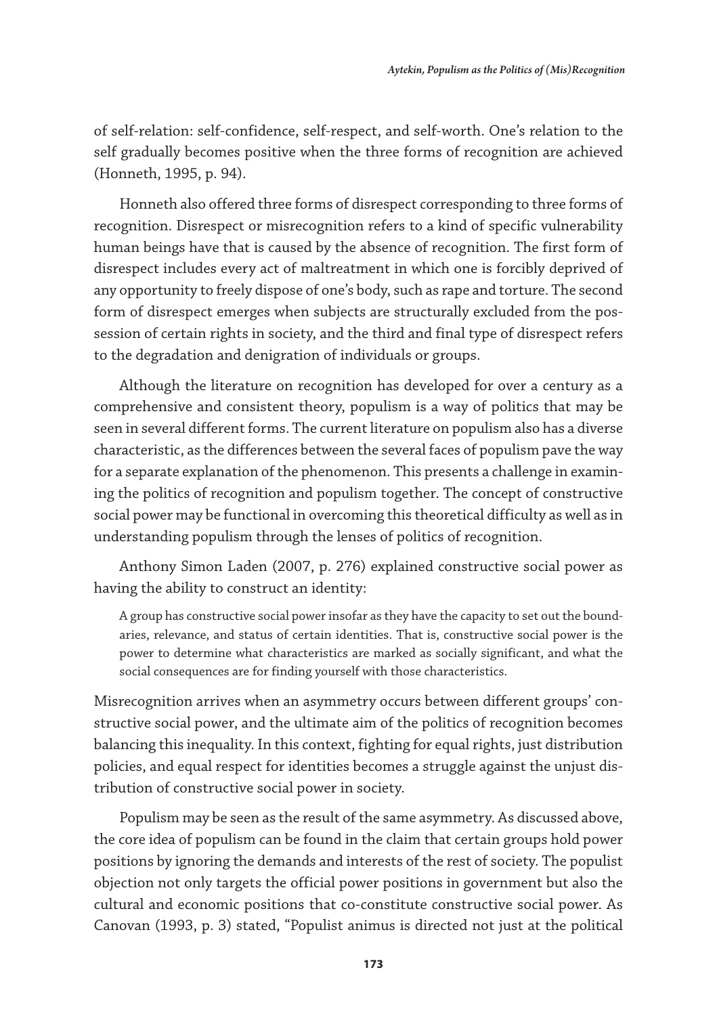of self-relation: self-confidence, self-respect, and self-worth. One's relation to the self gradually becomes positive when the three forms of recognition are achieved (Honneth, 1995, p. 94).

Honneth also offered three forms of disrespect corresponding to three forms of recognition. Disrespect or misrecognition refers to a kind of specific vulnerability human beings have that is caused by the absence of recognition. The first form of disrespect includes every act of maltreatment in which one is forcibly deprived of any opportunity to freely dispose of one's body, such as rape and torture. The second form of disrespect emerges when subjects are structurally excluded from the possession of certain rights in society, and the third and final type of disrespect refers to the degradation and denigration of individuals or groups.

Although the literature on recognition has developed for over a century as a comprehensive and consistent theory, populism is a way of politics that may be seen in several different forms. The current literature on populism also has a diverse characteristic, as the differences between the several faces of populism pave the way for a separate explanation of the phenomenon. This presents a challenge in examining the politics of recognition and populism together. The concept of constructive social power may be functional in overcoming this theoretical difficulty as well as in understanding populism through the lenses of politics of recognition.

Anthony Simon Laden (2007, p. 276) explained constructive social power as having the ability to construct an identity:

A group has constructive social power insofar as they have the capacity to set out the boundaries, relevance, and status of certain identities. That is, constructive social power is the power to determine what characteristics are marked as socially significant, and what the social consequences are for finding yourself with those characteristics.

Misrecognition arrives when an asymmetry occurs between different groups' constructive social power, and the ultimate aim of the politics of recognition becomes balancing this inequality. In this context, fighting for equal rights, just distribution policies, and equal respect for identities becomes a struggle against the unjust distribution of constructive social power in society.

Populism may be seen as the result of the same asymmetry. As discussed above, the core idea of populism can be found in the claim that certain groups hold power positions by ignoring the demands and interests of the rest of society. The populist objection not only targets the official power positions in government but also the cultural and economic positions that co-constitute constructive social power. As Canovan (1993, p. 3) stated, "Populist animus is directed not just at the political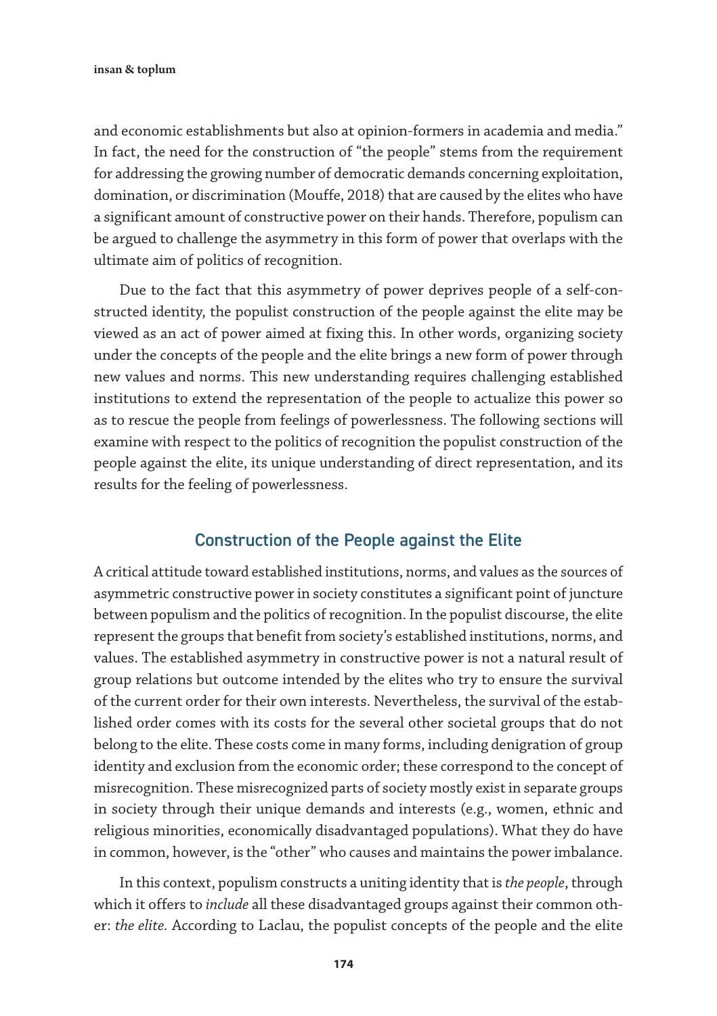and economic establishments but also at opinion-formers in academia and media." In fact, the need for the construction of "the people" stems from the requirement for addressing the growing number of democratic demands concerning exploitation, domination, or discrimination (Mouffe, 2018) that are caused by the elites who have a significant amount of constructive power on their hands. Therefore, populism can be argued to challenge the asymmetry in this form of power that overlaps with the ultimate aim of politics of recognition.

Due to the fact that this asymmetry of power deprives people of a self-constructed identity, the populist construction of the people against the elite may be viewed as an act of power aimed at fixing this. In other words, organizing society under the concepts of the people and the elite brings a new form of power through new values and norms. This new understanding requires challenging established institutions to extend the representation of the people to actualize this power so as to rescue the people from feelings of powerlessness. The following sections will examine with respect to the politics of recognition the populist construction of the people against the elite, its unique understanding of direct representation, and its results for the feeling of powerlessness.

## Construction of the People against the Elite

A critical attitude toward established institutions, norms, and values as the sources of asymmetric constructive power in society constitutes a significant point of juncture between populism and the politics of recognition. In the populist discourse, the elite represent the groups that benefit from society's established institutions, norms, and values. The established asymmetry in constructive power is not a natural result of group relations but outcome intended by the elites who try to ensure the survival of the current order for their own interests. Nevertheless, the survival of the established order comes with its costs for the several other societal groups that do not belong to the elite. These costs come in many forms, including denigration of group identity and exclusion from the economic order; these correspond to the concept of misrecognition. These misrecognized parts of society mostly exist in separate groups in society through their unique demands and interests (e.g., women, ethnic and religious minorities, economically disadvantaged populations). What they do have in common, however, is the "other" who causes and maintains the power imbalance.

In this context, populism constructs a uniting identity that is *the people*, through which it offers to *include* all these disadvantaged groups against their common other: *the elite.* According to Laclau, the populist concepts of the people and the elite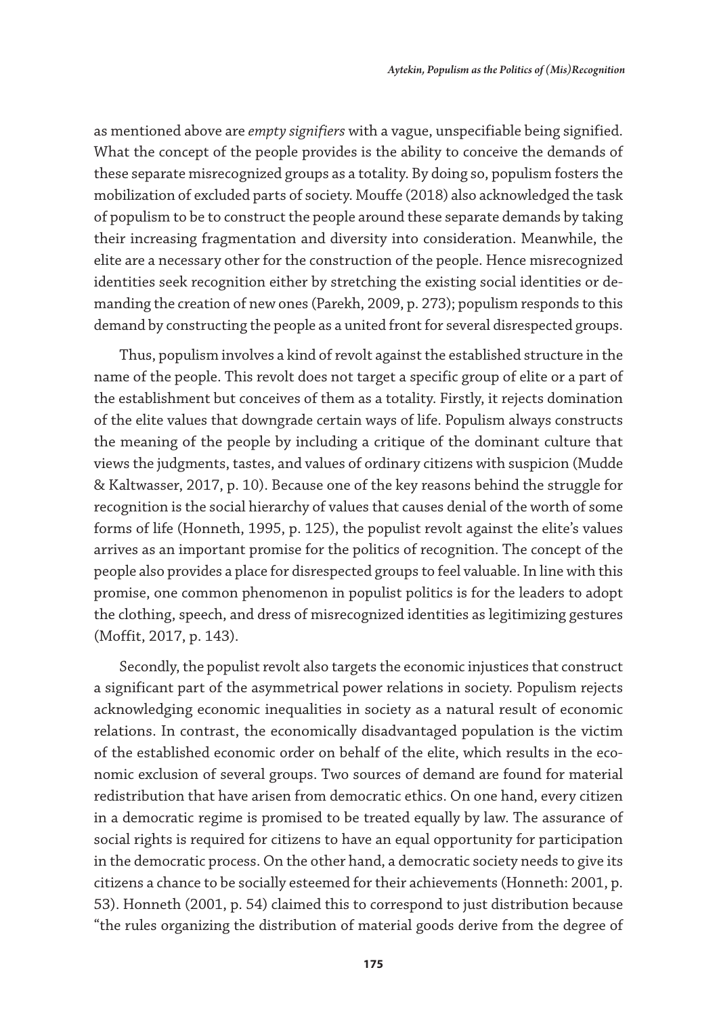as mentioned above are *empty signifiers* with a vague, unspecifiable being signified. What the concept of the people provides is the ability to conceive the demands of these separate misrecognized groups as a totality. By doing so, populism fosters the mobilization of excluded parts of society. Mouffe (2018) also acknowledged the task of populism to be to construct the people around these separate demands by taking their increasing fragmentation and diversity into consideration. Meanwhile, the elite are a necessary other for the construction of the people. Hence misrecognized identities seek recognition either by stretching the existing social identities or demanding the creation of new ones (Parekh, 2009, p. 273); populism responds to this demand by constructing the people as a united front for several disrespected groups.

Thus, populism involves a kind of revolt against the established structure in the name of the people. This revolt does not target a specific group of elite or a part of the establishment but conceives of them as a totality. Firstly, it rejects domination of the elite values that downgrade certain ways of life. Populism always constructs the meaning of the people by including a critique of the dominant culture that views the judgments, tastes, and values of ordinary citizens with suspicion (Mudde & Kaltwasser, 2017, p. 10). Because one of the key reasons behind the struggle for recognition is the social hierarchy of values that causes denial of the worth of some forms of life (Honneth, 1995, p. 125), the populist revolt against the elite's values arrives as an important promise for the politics of recognition. The concept of the people also provides a place for disrespected groups to feel valuable. In line with this promise, one common phenomenon in populist politics is for the leaders to adopt the clothing, speech, and dress of misrecognized identities as legitimizing gestures (Moffit, 2017, p. 143).

Secondly, the populist revolt also targets the economic injustices that construct a significant part of the asymmetrical power relations in society. Populism rejects acknowledging economic inequalities in society as a natural result of economic relations. In contrast, the economically disadvantaged population is the victim of the established economic order on behalf of the elite, which results in the economic exclusion of several groups. Two sources of demand are found for material redistribution that have arisen from democratic ethics. On one hand, every citizen in a democratic regime is promised to be treated equally by law. The assurance of social rights is required for citizens to have an equal opportunity for participation in the democratic process. On the other hand, a democratic society needs to give its citizens a chance to be socially esteemed for their achievements (Honneth: 2001, p. 53). Honneth (2001, p. 54) claimed this to correspond to just distribution because "the rules organizing the distribution of material goods derive from the degree of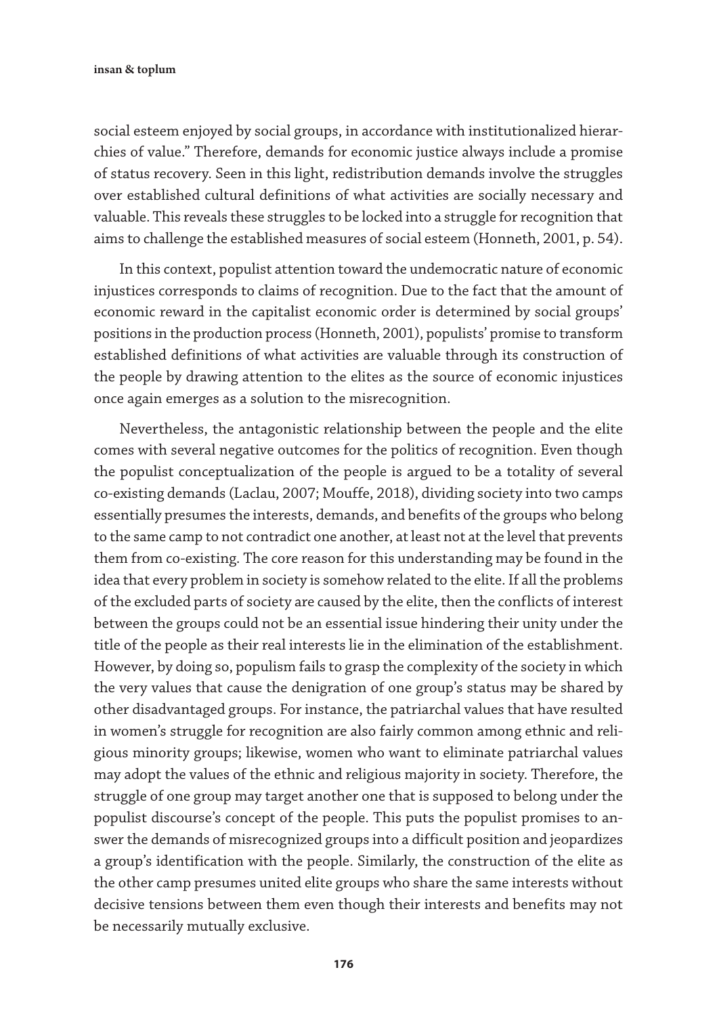social esteem enjoyed by social groups, in accordance with institutionalized hierarchies of value." Therefore, demands for economic justice always include a promise of status recovery. Seen in this light, redistribution demands involve the struggles over established cultural definitions of what activities are socially necessary and valuable. This reveals these struggles to be locked into a struggle for recognition that aims to challenge the established measures of social esteem (Honneth, 2001, p. 54).

In this context, populist attention toward the undemocratic nature of economic injustices corresponds to claims of recognition. Due to the fact that the amount of economic reward in the capitalist economic order is determined by social groups' positions in the production process (Honneth, 2001), populists' promise to transform established definitions of what activities are valuable through its construction of the people by drawing attention to the elites as the source of economic injustices once again emerges as a solution to the misrecognition.

Nevertheless, the antagonistic relationship between the people and the elite comes with several negative outcomes for the politics of recognition. Even though the populist conceptualization of the people is argued to be a totality of several co-existing demands (Laclau, 2007; Mouffe, 2018), dividing society into two camps essentially presumes the interests, demands, and benefits of the groups who belong to the same camp to not contradict one another, at least not at the level that prevents them from co-existing. The core reason for this understanding may be found in the idea that every problem in society is somehow related to the elite. If all the problems of the excluded parts of society are caused by the elite, then the conflicts of interest between the groups could not be an essential issue hindering their unity under the title of the people as their real interests lie in the elimination of the establishment. However, by doing so, populism fails to grasp the complexity of the society in which the very values that cause the denigration of one group's status may be shared by other disadvantaged groups. For instance, the patriarchal values that have resulted in women's struggle for recognition are also fairly common among ethnic and religious minority groups; likewise, women who want to eliminate patriarchal values may adopt the values of the ethnic and religious majority in society. Therefore, the struggle of one group may target another one that is supposed to belong under the populist discourse's concept of the people. This puts the populist promises to answer the demands of misrecognized groups into a difficult position and jeopardizes a group's identification with the people. Similarly, the construction of the elite as the other camp presumes united elite groups who share the same interests without decisive tensions between them even though their interests and benefits may not be necessarily mutually exclusive.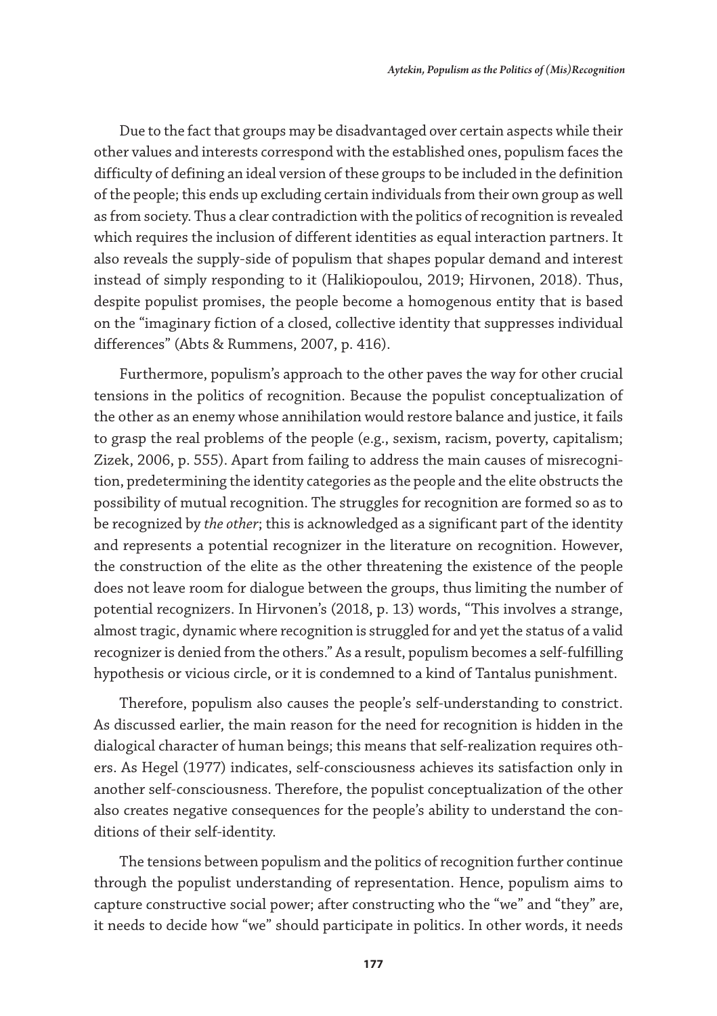Due to the fact that groups may be disadvantaged over certain aspects while their other values and interests correspond with the established ones, populism faces the difficulty of defining an ideal version of these groups to be included in the definition of the people; this ends up excluding certain individuals from their own group as well as from society. Thus a clear contradiction with the politics of recognition is revealed which requires the inclusion of different identities as equal interaction partners. It also reveals the supply-side of populism that shapes popular demand and interest instead of simply responding to it (Halikiopoulou, 2019; Hirvonen, 2018). Thus, despite populist promises, the people become a homogenous entity that is based on the "imaginary fiction of a closed, collective identity that suppresses individual differences" (Abts & Rummens, 2007, p. 416).

Furthermore, populism's approach to the other paves the way for other crucial tensions in the politics of recognition. Because the populist conceptualization of the other as an enemy whose annihilation would restore balance and justice, it fails to grasp the real problems of the people (e.g., sexism, racism, poverty, capitalism; Zizek, 2006, p. 555). Apart from failing to address the main causes of misrecognition, predetermining the identity categories as the people and the elite obstructs the possibility of mutual recognition. The struggles for recognition are formed so as to be recognized by *the other*; this is acknowledged as a significant part of the identity and represents a potential recognizer in the literature on recognition. However, the construction of the elite as the other threatening the existence of the people does not leave room for dialogue between the groups, thus limiting the number of potential recognizers. In Hirvonen's (2018, p. 13) words, "This involves a strange, almost tragic, dynamic where recognition is struggled for and yet the status of a valid recognizer is denied from the others." As a result, populism becomes a self-fulfilling hypothesis or vicious circle, or it is condemned to a kind of Tantalus punishment.

Therefore, populism also causes the people's self-understanding to constrict. As discussed earlier, the main reason for the need for recognition is hidden in the dialogical character of human beings; this means that self-realization requires others. As Hegel (1977) indicates, self-consciousness achieves its satisfaction only in another self-consciousness. Therefore, the populist conceptualization of the other also creates negative consequences for the people's ability to understand the conditions of their self-identity.

The tensions between populism and the politics of recognition further continue through the populist understanding of representation. Hence, populism aims to capture constructive social power; after constructing who the "we" and "they" are, it needs to decide how "we" should participate in politics. In other words, it needs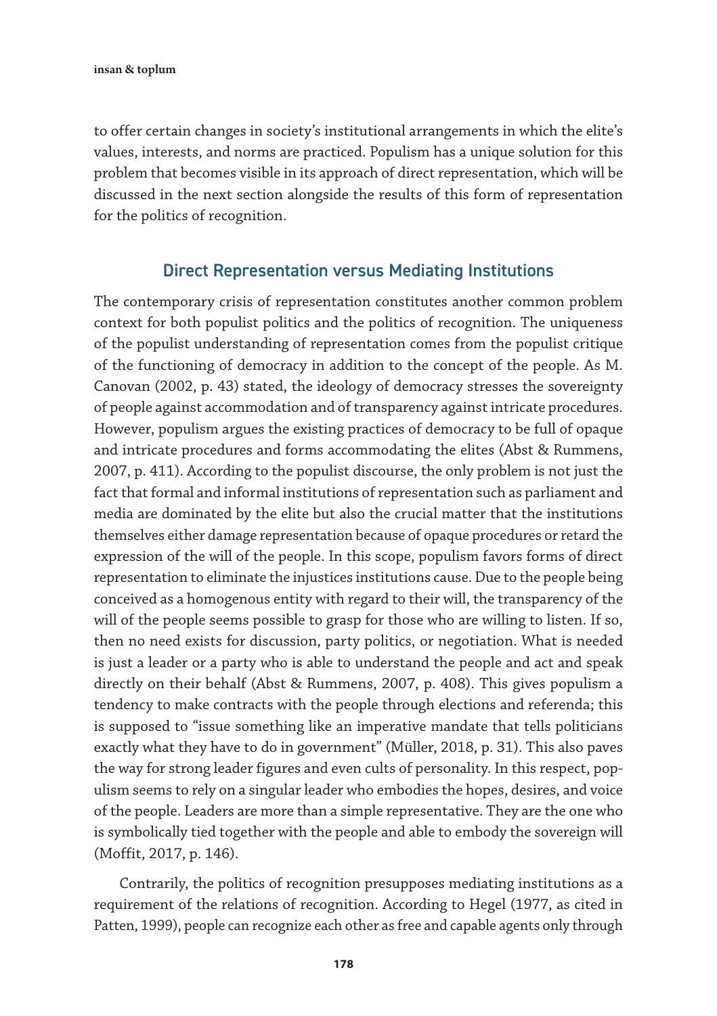to offer certain changes in society's institutional arrangements in which the elite's values, interests, and norms are practiced. Populism has a unique solution for this problem that becomes visible in its approach of direct representation, which will be discussed in the next section alongside the results of this form of representation for the politics of recognition.

#### Direct Representation versus Mediating Institutions

The contemporary crisis of representation constitutes another common problem context for both populist politics and the politics of recognition. The uniqueness of the populist understanding of representation comes from the populist critique of the functioning of democracy in addition to the concept of the people. As M. Canovan (2002, p. 43) stated, the ideology of democracy stresses the sovereignty of people against accommodation and of transparency against intricate procedures. However, populism argues the existing practices of democracy to be full of opaque and intricate procedures and forms accommodating the elites (Abst & Rummens, 2007, p. 411). According to the populist discourse, the only problem is not just the fact that formal and informal institutions of representation such as parliament and media are dominated by the elite but also the crucial matter that the institutions themselves either damage representation because of opaque procedures or retard the expression of the will of the people. In this scope, populism favors forms of direct representation to eliminate the injustices institutions cause. Due to the people being conceived as a homogenous entity with regard to their will, the transparency of the will of the people seems possible to grasp for those who are willing to listen. If so, then no need exists for discussion, party politics, or negotiation. What is needed is just a leader or a party who is able to understand the people and act and speak directly on their behalf (Abst & Rummens, 2007, p. 408). This gives populism a tendency to make contracts with the people through elections and referenda; this is supposed to "issue something like an imperative mandate that tells politicians exactly what they have to do in government" (Müller, 2018, p. 31). This also paves the way for strong leader figures and even cults of personality. In this respect, populism seems to rely on a singular leader who embodies the hopes, desires, and voice of the people. Leaders are more than a simple representative. They are the one who is symbolically tied together with the people and able to embody the sovereign will (Moffit, 2017, p. 146).

Contrarily, the politics of recognition presupposes mediating institutions as a requirement of the relations of recognition. According to Hegel (1977, as cited in Patten, 1999), people can recognize each other as free and capable agents only through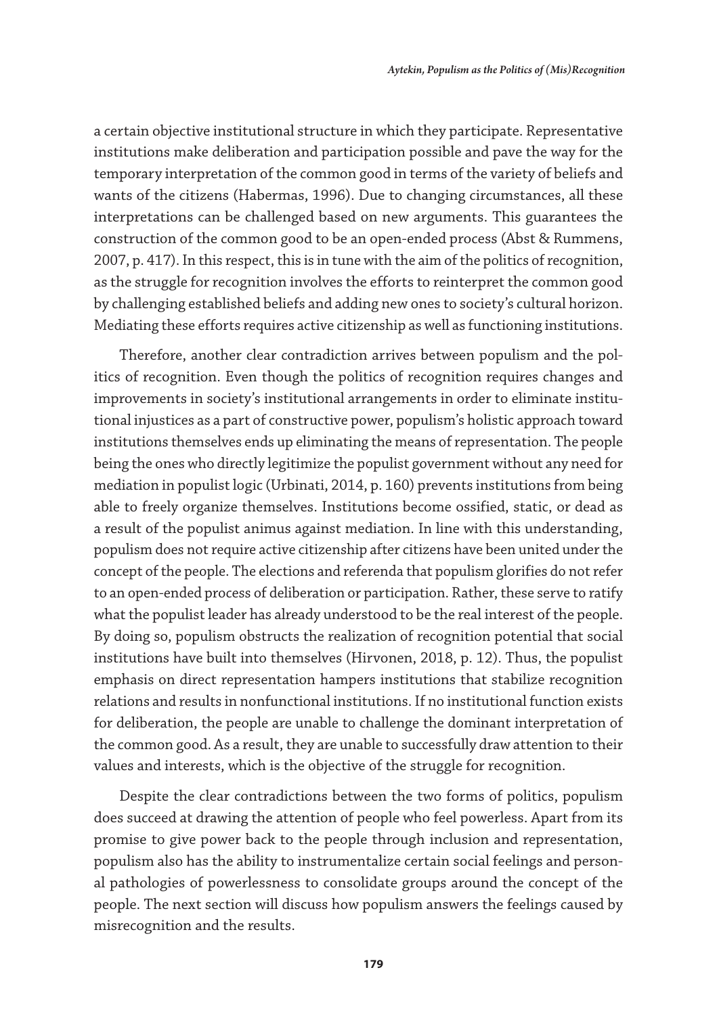a certain objective institutional structure in which they participate. Representative institutions make deliberation and participation possible and pave the way for the temporary interpretation of the common good in terms of the variety of beliefs and wants of the citizens (Habermas, 1996). Due to changing circumstances, all these interpretations can be challenged based on new arguments. This guarantees the construction of the common good to be an open-ended process (Abst & Rummens, 2007, p. 417). In this respect, this is in tune with the aim of the politics of recognition, as the struggle for recognition involves the efforts to reinterpret the common good by challenging established beliefs and adding new ones to society's cultural horizon. Mediating these efforts requires active citizenship as well as functioning institutions.

Therefore, another clear contradiction arrives between populism and the politics of recognition. Even though the politics of recognition requires changes and improvements in society's institutional arrangements in order to eliminate institutional injustices as a part of constructive power, populism's holistic approach toward institutions themselves ends up eliminating the means of representation. The people being the ones who directly legitimize the populist government without any need for mediation in populist logic (Urbinati, 2014, p. 160) prevents institutions from being able to freely organize themselves. Institutions become ossified, static, or dead as a result of the populist animus against mediation. In line with this understanding, populism does not require active citizenship after citizens have been united under the concept of the people. The elections and referenda that populism glorifies do not refer to an open-ended process of deliberation or participation. Rather, these serve to ratify what the populist leader has already understood to be the real interest of the people. By doing so, populism obstructs the realization of recognition potential that social institutions have built into themselves (Hirvonen, 2018, p. 12). Thus, the populist emphasis on direct representation hampers institutions that stabilize recognition relations and results in nonfunctional institutions. If no institutional function exists for deliberation, the people are unable to challenge the dominant interpretation of the common good. As a result, they are unable to successfully draw attention to their values and interests, which is the objective of the struggle for recognition.

Despite the clear contradictions between the two forms of politics, populism does succeed at drawing the attention of people who feel powerless. Apart from its promise to give power back to the people through inclusion and representation, populism also has the ability to instrumentalize certain social feelings and personal pathologies of powerlessness to consolidate groups around the concept of the people. The next section will discuss how populism answers the feelings caused by misrecognition and the results.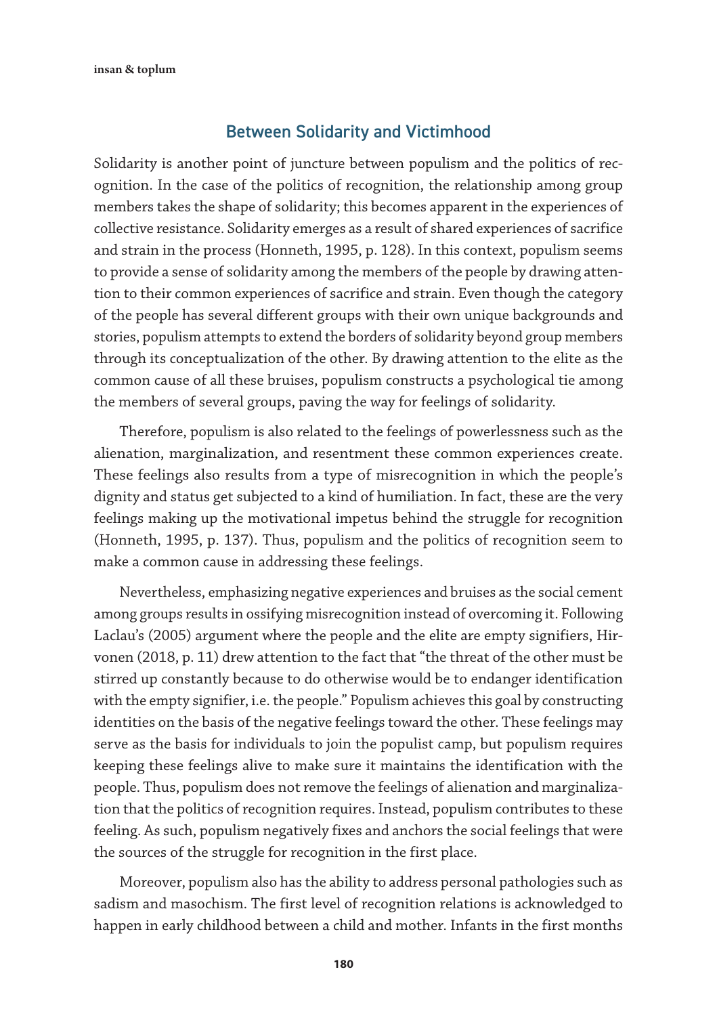## Between Solidarity and Victimhood

Solidarity is another point of juncture between populism and the politics of recognition. In the case of the politics of recognition, the relationship among group members takes the shape of solidarity; this becomes apparent in the experiences of collective resistance. Solidarity emerges as a result of shared experiences of sacrifice and strain in the process (Honneth, 1995, p. 128). In this context, populism seems to provide a sense of solidarity among the members of the people by drawing attention to their common experiences of sacrifice and strain. Even though the category of the people has several different groups with their own unique backgrounds and stories, populism attempts to extend the borders of solidarity beyond group members through its conceptualization of the other. By drawing attention to the elite as the common cause of all these bruises, populism constructs a psychological tie among the members of several groups, paving the way for feelings of solidarity.

Therefore, populism is also related to the feelings of powerlessness such as the alienation, marginalization, and resentment these common experiences create. These feelings also results from a type of misrecognition in which the people's dignity and status get subjected to a kind of humiliation. In fact, these are the very feelings making up the motivational impetus behind the struggle for recognition (Honneth, 1995, p. 137). Thus, populism and the politics of recognition seem to make a common cause in addressing these feelings.

Nevertheless, emphasizing negative experiences and bruises as the social cement among groups results in ossifying misrecognition instead of overcoming it. Following Laclau's (2005) argument where the people and the elite are empty signifiers, Hirvonen (2018, p. 11) drew attention to the fact that "the threat of the other must be stirred up constantly because to do otherwise would be to endanger identification with the empty signifier, i.e. the people." Populism achieves this goal by constructing identities on the basis of the negative feelings toward the other. These feelings may serve as the basis for individuals to join the populist camp, but populism requires keeping these feelings alive to make sure it maintains the identification with the people. Thus, populism does not remove the feelings of alienation and marginalization that the politics of recognition requires. Instead, populism contributes to these feeling. As such, populism negatively fixes and anchors the social feelings that were the sources of the struggle for recognition in the first place.

Moreover, populism also has the ability to address personal pathologies such as sadism and masochism. The first level of recognition relations is acknowledged to happen in early childhood between a child and mother. Infants in the first months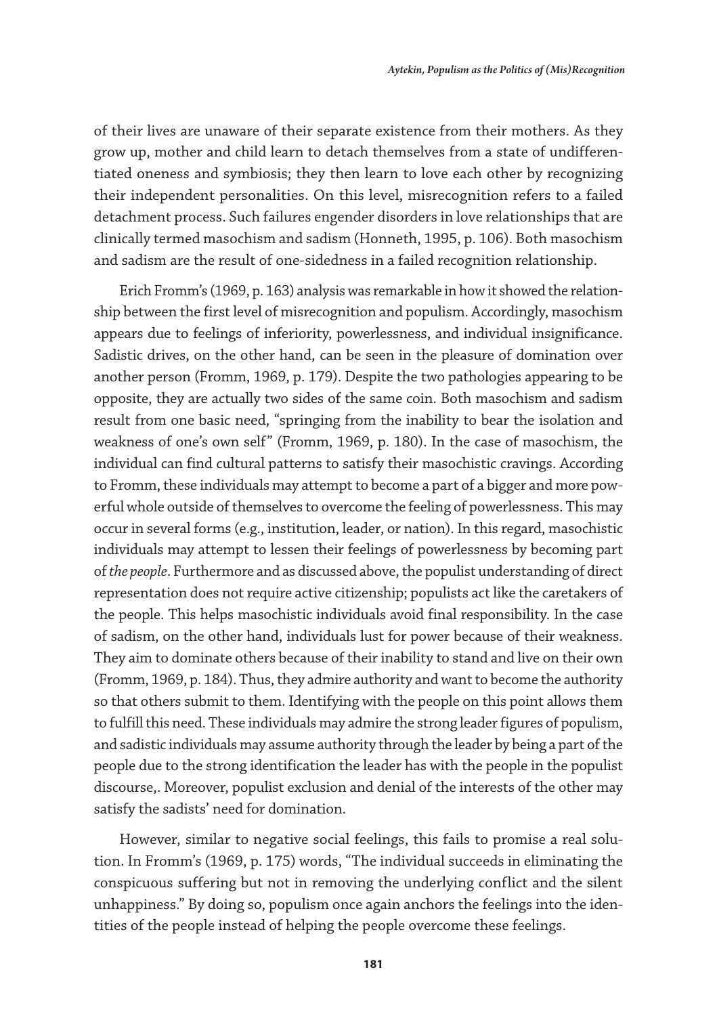of their lives are unaware of their separate existence from their mothers. As they grow up, mother and child learn to detach themselves from a state of undifferentiated oneness and symbiosis; they then learn to love each other by recognizing their independent personalities. On this level, misrecognition refers to a failed detachment process. Such failures engender disorders in love relationships that are clinically termed masochism and sadism (Honneth, 1995, p. 106). Both masochism and sadism are the result of one-sidedness in a failed recognition relationship.

Erich Fromm's (1969, p. 163) analysis was remarkable in how it showed the relationship between the first level of misrecognition and populism. Accordingly, masochism appears due to feelings of inferiority, powerlessness, and individual insignificance. Sadistic drives, on the other hand, can be seen in the pleasure of domination over another person (Fromm, 1969, p. 179). Despite the two pathologies appearing to be opposite, they are actually two sides of the same coin. Both masochism and sadism result from one basic need, "springing from the inability to bear the isolation and weakness of one's own self" (Fromm, 1969, p. 180). In the case of masochism, the individual can find cultural patterns to satisfy their masochistic cravings. According to Fromm, these individuals may attempt to become a part of a bigger and more powerful whole outside of themselves to overcome the feeling of powerlessness. This may occur in several forms (e.g., institution, leader, or nation). In this regard, masochistic individuals may attempt to lessen their feelings of powerlessness by becoming part of *the people*. Furthermore and as discussed above, the populist understanding of direct representation does not require active citizenship; populists act like the caretakers of the people. This helps masochistic individuals avoid final responsibility. In the case of sadism, on the other hand, individuals lust for power because of their weakness. They aim to dominate others because of their inability to stand and live on their own (Fromm, 1969, p. 184). Thus, they admire authority and want to become the authority so that others submit to them. Identifying with the people on this point allows them to fulfill this need. These individuals may admire the strong leader figures of populism, and sadistic individuals may assume authority through the leader by being a part of the people due to the strong identification the leader has with the people in the populist discourse,. Moreover, populist exclusion and denial of the interests of the other may satisfy the sadists' need for domination.

However, similar to negative social feelings, this fails to promise a real solution. In Fromm's (1969, p. 175) words, "The individual succeeds in eliminating the conspicuous suffering but not in removing the underlying conflict and the silent unhappiness." By doing so, populism once again anchors the feelings into the identities of the people instead of helping the people overcome these feelings.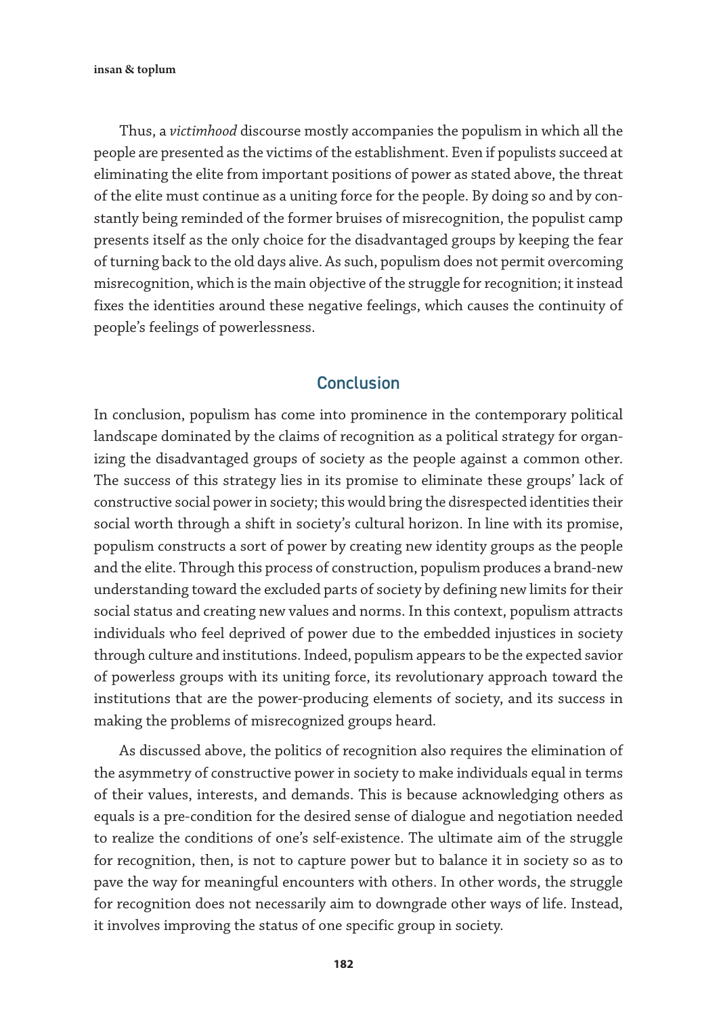Thus, a *victimhood* discourse mostly accompanies the populism in which all the people are presented as the victims of the establishment. Even if populists succeed at eliminating the elite from important positions of power as stated above, the threat of the elite must continue as a uniting force for the people. By doing so and by constantly being reminded of the former bruises of misrecognition, the populist camp presents itself as the only choice for the disadvantaged groups by keeping the fear of turning back to the old days alive. As such, populism does not permit overcoming misrecognition, which is the main objective of the struggle for recognition; it instead fixes the identities around these negative feelings, which causes the continuity of people's feelings of powerlessness.

### **Conclusion**

In conclusion, populism has come into prominence in the contemporary political landscape dominated by the claims of recognition as a political strategy for organizing the disadvantaged groups of society as the people against a common other. The success of this strategy lies in its promise to eliminate these groups' lack of constructive social power in society; this would bring the disrespected identities their social worth through a shift in society's cultural horizon. In line with its promise, populism constructs a sort of power by creating new identity groups as the people and the elite. Through this process of construction, populism produces a brand-new understanding toward the excluded parts of society by defining new limits for their social status and creating new values and norms. In this context, populism attracts individuals who feel deprived of power due to the embedded injustices in society through culture and institutions. Indeed, populism appears to be the expected savior of powerless groups with its uniting force, its revolutionary approach toward the institutions that are the power-producing elements of society, and its success in making the problems of misrecognized groups heard.

As discussed above, the politics of recognition also requires the elimination of the asymmetry of constructive power in society to make individuals equal in terms of their values, interests, and demands. This is because acknowledging others as equals is a pre-condition for the desired sense of dialogue and negotiation needed to realize the conditions of one's self-existence. The ultimate aim of the struggle for recognition, then, is not to capture power but to balance it in society so as to pave the way for meaningful encounters with others. In other words, the struggle for recognition does not necessarily aim to downgrade other ways of life. Instead, it involves improving the status of one specific group in society.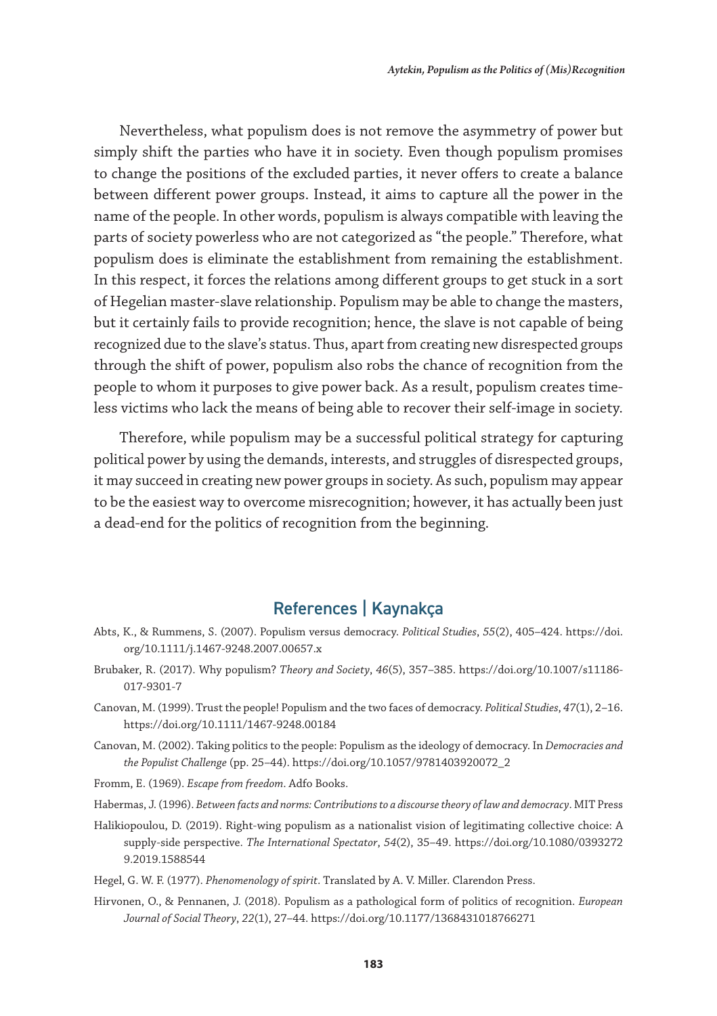Nevertheless, what populism does is not remove the asymmetry of power but simply shift the parties who have it in society. Even though populism promises to change the positions of the excluded parties, it never offers to create a balance between different power groups. Instead, it aims to capture all the power in the name of the people. In other words, populism is always compatible with leaving the parts of society powerless who are not categorized as "the people." Therefore, what populism does is eliminate the establishment from remaining the establishment. In this respect, it forces the relations among different groups to get stuck in a sort of Hegelian master-slave relationship. Populism may be able to change the masters, but it certainly fails to provide recognition; hence, the slave is not capable of being recognized due to the slave's status. Thus, apart from creating new disrespected groups through the shift of power, populism also robs the chance of recognition from the people to whom it purposes to give power back. As a result, populism creates timeless victims who lack the means of being able to recover their self-image in society.

Therefore, while populism may be a successful political strategy for capturing political power by using the demands, interests, and struggles of disrespected groups, it may succeed in creating new power groups in society. As such, populism may appear to be the easiest way to overcome misrecognition; however, it has actually been just a dead-end for the politics of recognition from the beginning.

## References | Kaynakça

- Abts, K., & Rummens, S. (2007). Populism versus democracy. *Political Studies*, *55*(2), 405–424. https://doi. org/10.1111/j.1467-9248.2007.00657.x
- Brubaker, R. (2017). Why populism? *Theory and Society*, *46*(5), 357–385. https://doi.org/10.1007/s11186- 017-9301-7
- Canovan, M. (1999). Trust the people! Populism and the two faces of democracy. *Political Studies*, *47*(1), 2–16. https://doi.org/10.1111/1467-9248.00184
- Canovan, M. (2002). Taking politics to the people: Populism as the ideology of democracy. In *Democracies and the Populist Challenge* (pp. 25–44). https://doi.org/10.1057/9781403920072\_2
- Fromm, E. (1969). *Escape from freedom*. Adfo Books.
- Habermas, J. (1996). *Between facts and norms: Contributions to a discourse theory of law and democracy*. MIT Press
- Halikiopoulou, D. (2019). Right-wing populism as a nationalist vision of legitimating collective choice: A supply-side perspective. *The International Spectator*, *54*(2), 35–49. https://doi.org/10.1080/0393272 9.2019.1588544

Hegel, G. W. F. (1977). *Phenomenology of spirit*. Translated by A. V. Miller. Clarendon Press.

Hirvonen, O., & Pennanen, J. (2018). Populism as a pathological form of politics of recognition. *European Journal of Social Theory*, *22*(1), 27–44. https://doi.org/10.1177/1368431018766271